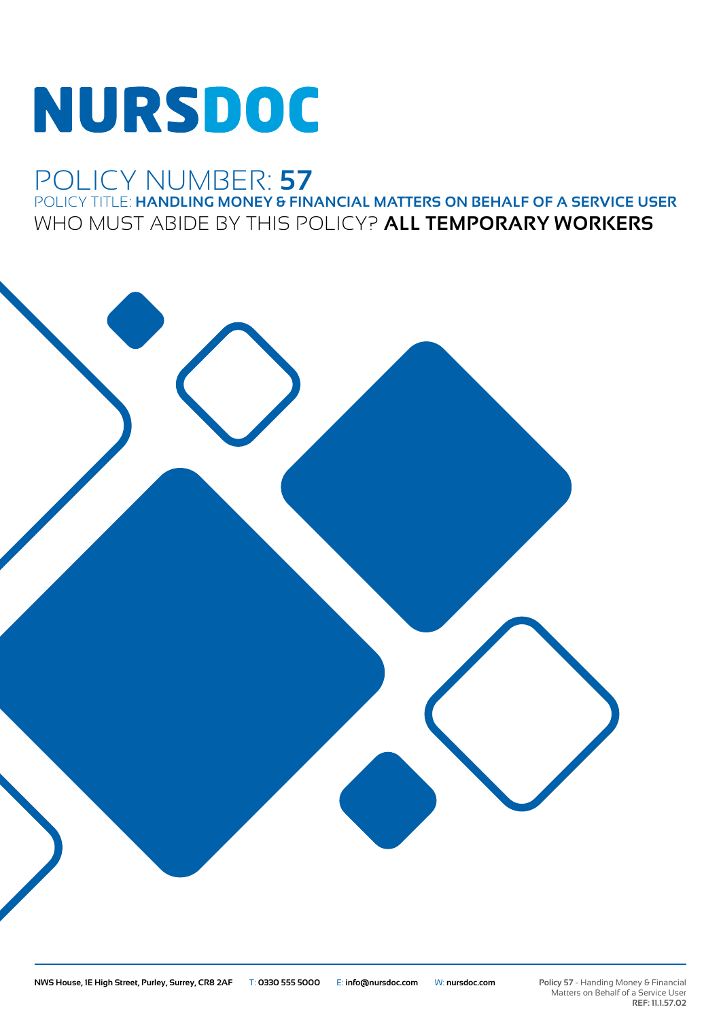# NURSDOC

### POLICY NUMBER: **57**

POLICY TITLE: **HANDLING MONEY & FINANCIAL MATTERS ON BEHALF OF A SERVICE USER** WHO MUST ABIDE BY THIS POLICY? **ALL TEMPORARY WORKERS**



**Policy 57** - Handing Money & Financial Matters on Behalf of a Service User **REF: 11.1.57.02**